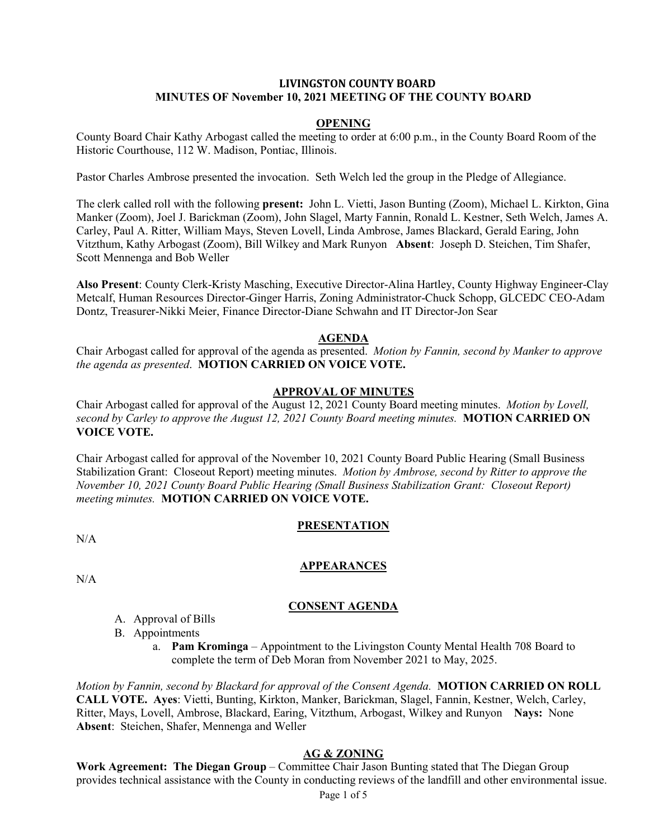#### **LIVINGSTON COUNTY BOARD MINUTES OF November 10, 2021 MEETING OF THE COUNTY BOARD**

#### **OPENING**

County Board Chair Kathy Arbogast called the meeting to order at 6:00 p.m., in the County Board Room of the Historic Courthouse, 112 W. Madison, Pontiac, Illinois.

Pastor Charles Ambrose presented the invocation. Seth Welch led the group in the Pledge of Allegiance.

The clerk called roll with the following **present:** John L. Vietti, Jason Bunting (Zoom), Michael L. Kirkton, Gina Manker (Zoom), Joel J. Barickman (Zoom), John Slagel, Marty Fannin, Ronald L. Kestner, Seth Welch, James A. Carley, Paul A. Ritter, William Mays, Steven Lovell, Linda Ambrose, James Blackard, Gerald Earing, John Vitzthum, Kathy Arbogast (Zoom), Bill Wilkey and Mark Runyon **Absent**: Joseph D. Steichen, Tim Shafer, Scott Mennenga and Bob Weller

**Also Present**: County Clerk-Kristy Masching, Executive Director-Alina Hartley, County Highway Engineer-Clay Metcalf, Human Resources Director-Ginger Harris, Zoning Administrator-Chuck Schopp, GLCEDC CEO-Adam Dontz, Treasurer-Nikki Meier, Finance Director-Diane Schwahn and IT Director-Jon Sear

#### **AGENDA**

Chair Arbogast called for approval of the agenda as presented. *Motion by Fannin, second by Manker to approve the agenda as presented*. **MOTION CARRIED ON VOICE VOTE.**

#### **APPROVAL OF MINUTES**

Chair Arbogast called for approval of the August 12, 2021 County Board meeting minutes. *Motion by Lovell, second by Carley to approve the August 12, 2021 County Board meeting minutes.* **MOTION CARRIED ON VOICE VOTE.**

Chair Arbogast called for approval of the November 10, 2021 County Board Public Hearing (Small Business Stabilization Grant: Closeout Report) meeting minutes. *Motion by Ambrose, second by Ritter to approve the November 10, 2021 County Board Public Hearing (Small Business Stabilization Grant: Closeout Report) meeting minutes.* **MOTION CARRIED ON VOICE VOTE.**

## **PRESENTATION**

 $N/A$ 

## **APPEARANCES**

N/A

## **CONSENT AGENDA**

- A. Approval of Bills
- B. Appointments
	- a. **Pam Krominga** Appointment to the Livingston County Mental Health 708 Board to complete the term of Deb Moran from November 2021 to May, 2025.

*Motion by Fannin, second by Blackard for approval of the Consent Agenda.* **MOTION CARRIED ON ROLL CALL VOTE. Ayes**: Vietti, Bunting, Kirkton, Manker, Barickman, Slagel, Fannin, Kestner, Welch, Carley, Ritter, Mays, Lovell, Ambrose, Blackard, Earing, Vitzthum, Arbogast, Wilkey and Runyon **Nays:** None **Absent**: Steichen, Shafer, Mennenga and Weller

## **AG & ZONING**

**Work Agreement: The Diegan Group** – Committee Chair Jason Bunting stated that The Diegan Group provides technical assistance with the County in conducting reviews of the landfill and other environmental issue.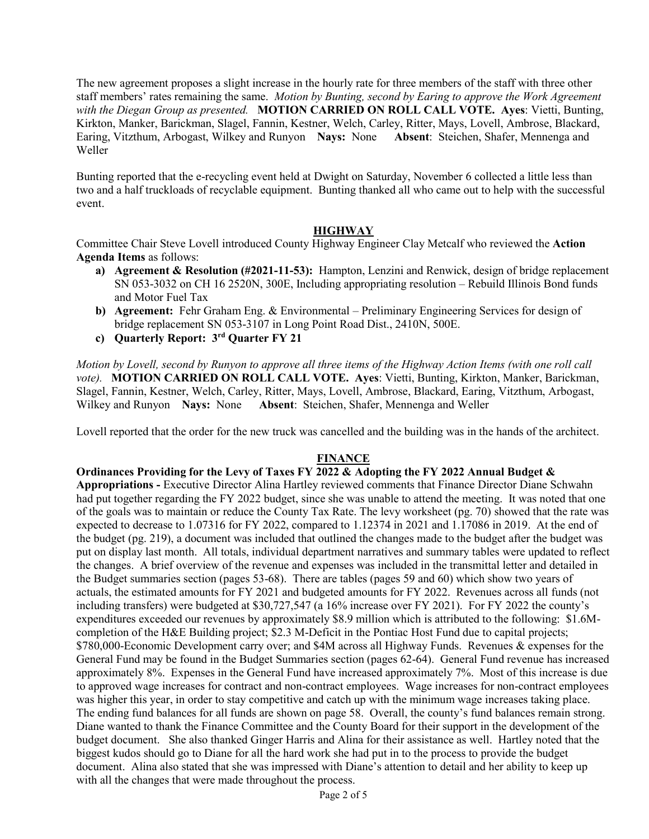The new agreement proposes a slight increase in the hourly rate for three members of the staff with three other staff members' rates remaining the same. *Motion by Bunting, second by Earing to approve the Work Agreement with the Diegan Group as presented.* **MOTION CARRIED ON ROLL CALL VOTE. Ayes**: Vietti, Bunting, Kirkton, Manker, Barickman, Slagel, Fannin, Kestner, Welch, Carley, Ritter, Mays, Lovell, Ambrose, Blackard, Earing, Vitzthum, Arbogast, Wilkey and Runyon **Nays:** None **Absent**: Steichen, Shafer, Mennenga and Weller

Bunting reported that the e-recycling event held at Dwight on Saturday, November 6 collected a little less than two and a half truckloads of recyclable equipment. Bunting thanked all who came out to help with the successful event.

## **HIGHWAY**

Committee Chair Steve Lovell introduced County Highway Engineer Clay Metcalf who reviewed the **Action Agenda Items** as follows:

- **a) Agreement & Resolution (#2021-11-53):** Hampton, Lenzini and Renwick, design of bridge replacement SN 053-3032 on CH 16 2520N, 300E, Including appropriating resolution – Rebuild Illinois Bond funds and Motor Fuel Tax
- **b) Agreement:** Fehr Graham Eng. & Environmental Preliminary Engineering Services for design of bridge replacement SN 053-3107 in Long Point Road Dist., 2410N, 500E.
- **c) Quarterly Report: 3rd Quarter FY 21**

*Motion by Lovell, second by Runyon to approve all three items of the Highway Action Items (with one roll call vote).* **MOTION CARRIED ON ROLL CALL VOTE. Ayes**: Vietti, Bunting, Kirkton, Manker, Barickman, Slagel, Fannin, Kestner, Welch, Carley, Ritter, Mays, Lovell, Ambrose, Blackard, Earing, Vitzthum, Arbogast, Wilkey and Runyon **Nays:** None **Absent**: Steichen, Shafer, Mennenga and Weller

Lovell reported that the order for the new truck was cancelled and the building was in the hands of the architect.

## **FINANCE**

**Ordinances Providing for the Levy of Taxes FY 2022 & Adopting the FY 2022 Annual Budget & Appropriations -** Executive Director Alina Hartley reviewed comments that Finance Director Diane Schwahn had put together regarding the FY 2022 budget, since she was unable to attend the meeting. It was noted that one of the goals was to maintain or reduce the County Tax Rate. The levy worksheet (pg. 70) showed that the rate was expected to decrease to 1.07316 for FY 2022, compared to 1.12374 in 2021 and 1.17086 in 2019. At the end of the budget (pg. 219), a document was included that outlined the changes made to the budget after the budget was put on display last month. All totals, individual department narratives and summary tables were updated to reflect the changes. A brief overview of the revenue and expenses was included in the transmittal letter and detailed in the Budget summaries section (pages 53-68). There are tables (pages 59 and 60) which show two years of actuals, the estimated amounts for FY 2021 and budgeted amounts for FY 2022. Revenues across all funds (not including transfers) were budgeted at \$30,727,547 (a 16% increase over FY 2021). For FY 2022 the county's expenditures exceeded our revenues by approximately \$8.9 million which is attributed to the following: \$1.6Mcompletion of the H&E Building project; \$2.3 M-Deficit in the Pontiac Host Fund due to capital projects; \$780,000-Economic Development carry over; and \$4M across all Highway Funds. Revenues & expenses for the General Fund may be found in the Budget Summaries section (pages 62-64). General Fund revenue has increased approximately 8%. Expenses in the General Fund have increased approximately 7%. Most of this increase is due to approved wage increases for contract and non-contract employees. Wage increases for non-contract employees was higher this year, in order to stay competitive and catch up with the minimum wage increases taking place. The ending fund balances for all funds are shown on page 58. Overall, the county's fund balances remain strong. Diane wanted to thank the Finance Committee and the County Board for their support in the development of the budget document. She also thanked Ginger Harris and Alina for their assistance as well. Hartley noted that the biggest kudos should go to Diane for all the hard work she had put in to the process to provide the budget document. Alina also stated that she was impressed with Diane's attention to detail and her ability to keep up with all the changes that were made throughout the process.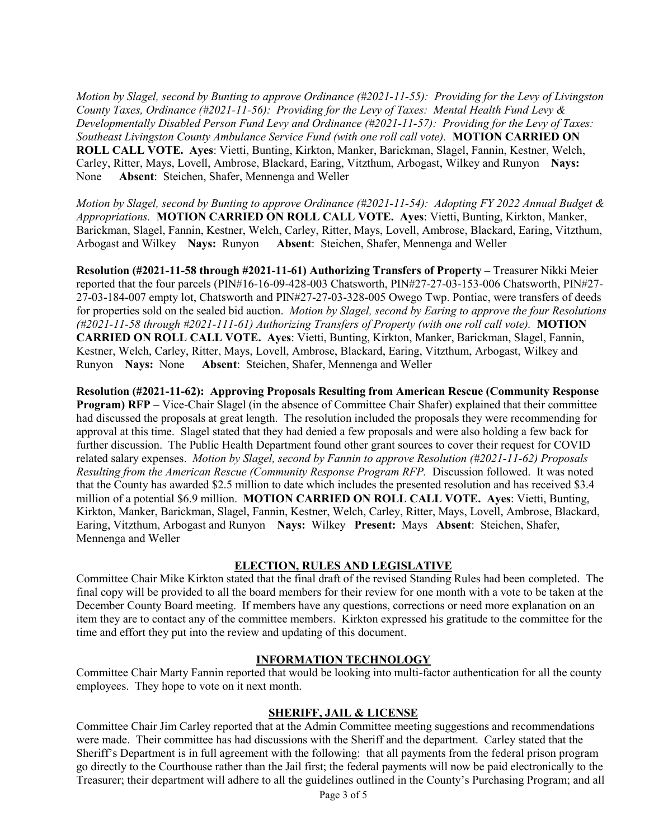*Motion by Slagel, second by Bunting to approve Ordinance (#2021-11-55): Providing for the Levy of Livingston County Taxes, Ordinance (#2021-11-56): Providing for the Levy of Taxes: Mental Health Fund Levy & Developmentally Disabled Person Fund Levy and Ordinance (#2021-11-57): Providing for the Levy of Taxes: Southeast Livingston County Ambulance Service Fund (with one roll call vote).* **MOTION CARRIED ON ROLL CALL VOTE. Ayes**: Vietti, Bunting, Kirkton, Manker, Barickman, Slagel, Fannin, Kestner, Welch, Carley, Ritter, Mays, Lovell, Ambrose, Blackard, Earing, Vitzthum, Arbogast, Wilkey and Runyon **Nays:** None **Absent**: Steichen, Shafer, Mennenga and Weller

*Motion by Slagel, second by Bunting to approve Ordinance (#2021-11-54): Adopting FY 2022 Annual Budget & Appropriations.* **MOTION CARRIED ON ROLL CALL VOTE. Ayes**: Vietti, Bunting, Kirkton, Manker, Barickman, Slagel, Fannin, Kestner, Welch, Carley, Ritter, Mays, Lovell, Ambrose, Blackard, Earing, Vitzthum, Arbogast and Wilkey **Nays:** Runyon **Absent**: Steichen, Shafer, Mennenga and Weller

**Resolution (#2021-11-58 through #2021-11-61) Authorizing Transfers of Property –** Treasurer Nikki Meier reported that the four parcels (PIN#16-16-09-428-003 Chatsworth, PIN#27-27-03-153-006 Chatsworth, PIN#27- 27-03-184-007 empty lot, Chatsworth and PIN#27-27-03-328-005 Owego Twp. Pontiac, were transfers of deeds for properties sold on the sealed bid auction. *Motion by Slagel, second by Earing to approve the four Resolutions (#2021-11-58 through #2021-111-61) Authorizing Transfers of Property (with one roll call vote).* **MOTION CARRIED ON ROLL CALL VOTE. Ayes**: Vietti, Bunting, Kirkton, Manker, Barickman, Slagel, Fannin, Kestner, Welch, Carley, Ritter, Mays, Lovell, Ambrose, Blackard, Earing, Vitzthum, Arbogast, Wilkey and Runyon **Nays:** None **Absent**: Steichen, Shafer, Mennenga and Weller

**Resolution (#2021-11-62): Approving Proposals Resulting from American Rescue (Community Response Program) RFP** – Vice-Chair Slagel (in the absence of Committee Chair Shafer) explained that their committee had discussed the proposals at great length. The resolution included the proposals they were recommending for approval at this time. Slagel stated that they had denied a few proposals and were also holding a few back for further discussion. The Public Health Department found other grant sources to cover their request for COVID related salary expenses. *Motion by Slagel, second by Fannin to approve Resolution (#2021-11-62) Proposals Resulting from the American Rescue (Community Response Program RFP.* Discussion followed. It was noted that the County has awarded \$2.5 million to date which includes the presented resolution and has received \$3.4 million of a potential \$6.9 million. **MOTION CARRIED ON ROLL CALL VOTE. Ayes**: Vietti, Bunting, Kirkton, Manker, Barickman, Slagel, Fannin, Kestner, Welch, Carley, Ritter, Mays, Lovell, Ambrose, Blackard, Earing, Vitzthum, Arbogast and Runyon **Nays:** Wilkey **Present:** Mays **Absent**: Steichen, Shafer, Mennenga and Weller

## **ELECTION, RULES AND LEGISLATIVE**

Committee Chair Mike Kirkton stated that the final draft of the revised Standing Rules had been completed. The final copy will be provided to all the board members for their review for one month with a vote to be taken at the December County Board meeting. If members have any questions, corrections or need more explanation on an item they are to contact any of the committee members. Kirkton expressed his gratitude to the committee for the time and effort they put into the review and updating of this document.

## **INFORMATION TECHNOLOGY**

Committee Chair Marty Fannin reported that would be looking into multi-factor authentication for all the county employees. They hope to vote on it next month.

## **SHERIFF, JAIL & LICENSE**

Committee Chair Jim Carley reported that at the Admin Committee meeting suggestions and recommendations were made. Their committee has had discussions with the Sheriff and the department. Carley stated that the Sheriff's Department is in full agreement with the following: that all payments from the federal prison program go directly to the Courthouse rather than the Jail first; the federal payments will now be paid electronically to the Treasurer; their department will adhere to all the guidelines outlined in the County's Purchasing Program; and all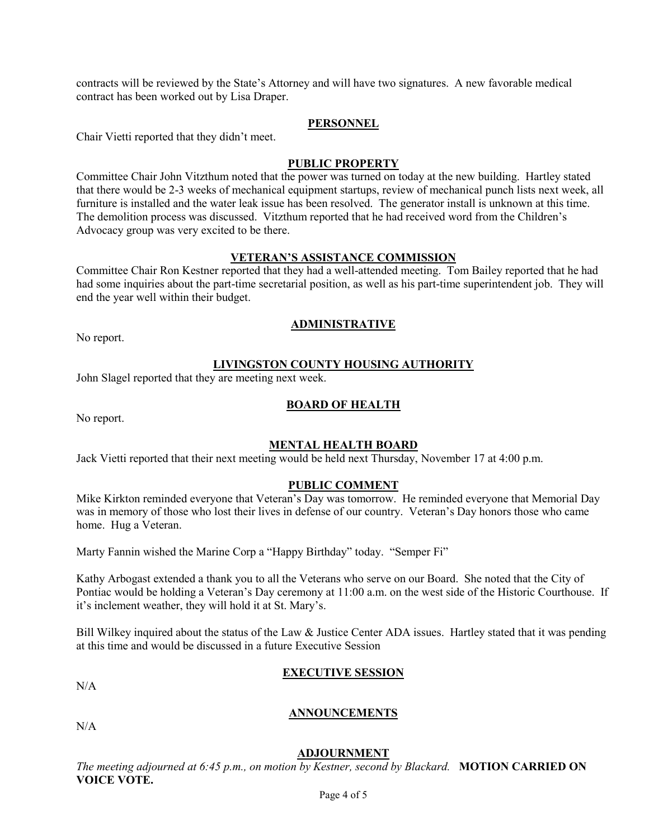contracts will be reviewed by the State's Attorney and will have two signatures. A new favorable medical contract has been worked out by Lisa Draper.

## **PERSONNEL**

Chair Vietti reported that they didn't meet.

#### **PUBLIC PROPERTY**

Committee Chair John Vitzthum noted that the power was turned on today at the new building. Hartley stated that there would be 2-3 weeks of mechanical equipment startups, review of mechanical punch lists next week, all furniture is installed and the water leak issue has been resolved. The generator install is unknown at this time. The demolition process was discussed. Vitzthum reported that he had received word from the Children's Advocacy group was very excited to be there.

#### **VETERAN'S ASSISTANCE COMMISSION**

Committee Chair Ron Kestner reported that they had a well-attended meeting. Tom Bailey reported that he had had some inquiries about the part-time secretarial position, as well as his part-time superintendent job. They will end the year well within their budget.

## **ADMINISTRATIVE**

No report.

#### **LIVINGSTON COUNTY HOUSING AUTHORITY**

John Slagel reported that they are meeting next week.

## **BOARD OF HEALTH**

No report.

## **MENTAL HEALTH BOARD**

Jack Vietti reported that their next meeting would be held next Thursday, November 17 at 4:00 p.m.

#### **PUBLIC COMMENT**

Mike Kirkton reminded everyone that Veteran's Day was tomorrow. He reminded everyone that Memorial Day was in memory of those who lost their lives in defense of our country. Veteran's Day honors those who came home. Hug a Veteran.

Marty Fannin wished the Marine Corp a "Happy Birthday" today. "Semper Fi"

Kathy Arbogast extended a thank you to all the Veterans who serve on our Board. She noted that the City of Pontiac would be holding a Veteran's Day ceremony at 11:00 a.m. on the west side of the Historic Courthouse. If it's inclement weather, they will hold it at St. Mary's.

Bill Wilkey inquired about the status of the Law & Justice Center ADA issues. Hartley stated that it was pending at this time and would be discussed in a future Executive Session

## **EXECUTIVE SESSION**

 $N/A$ 

## **ANNOUNCEMENTS**

 $N/A$ 

#### **ADJOURNMENT**

*The meeting adjourned at 6:45 p.m., on motion by Kestner, second by Blackard.* **MOTION CARRIED ON VOICE VOTE.**